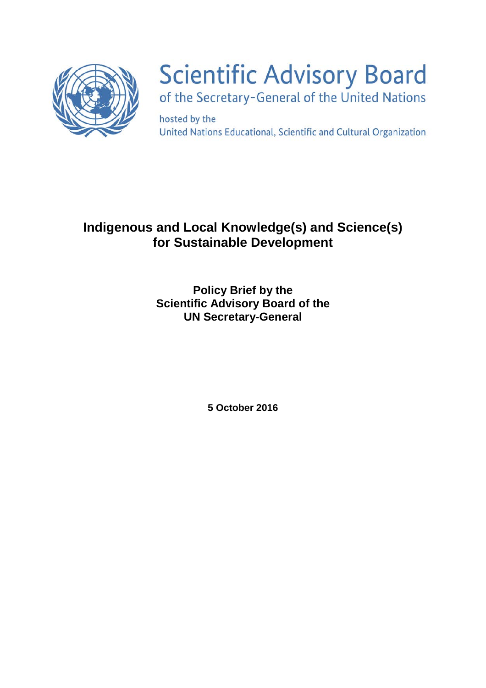

# **Scientific Advisory Board** of the Secretary-General of the United Nations

hosted by the United Nations Educational, Scientific and Cultural Organization

# **Indigenous and Local Knowledge(s) and Science(s) for Sustainable Development**

**Policy Brief by the Scientific Advisory Board of the UN Secretary-General**

**5 October 2016**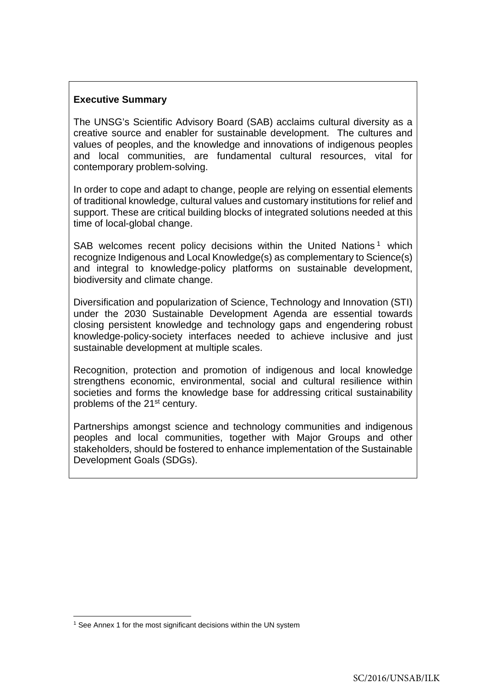# **Executive Summary**

The UNSG's Scientific Advisory Board (SAB) acclaims cultural diversity as a creative source and enabler for sustainable development. The cultures and values of peoples, and the knowledge and innovations of indigenous peoples and local communities, are fundamental cultural resources, vital for contemporary problem-solving.

In order to cope and adapt to change, people are relying on essential elements of traditional knowledge, cultural values and customary institutions for relief and support. These are critical building blocks of integrated solutions needed at this time of local-global change.

SAB welcomes recent policy decisions within the United Nations<sup>[1](#page-1-0)</sup> which recognize Indigenous and Local Knowledge(s) as complementary to Science(s) and integral to knowledge-policy platforms on sustainable development, biodiversity and climate change.

Diversification and popularization of Science, Technology and Innovation (STI) under the 2030 Sustainable Development Agenda are essential towards closing persistent knowledge and technology gaps and engendering robust knowledge-policy-society interfaces needed to achieve inclusive and just sustainable development at multiple scales.

Recognition, protection and promotion of indigenous and local knowledge strengthens economic, environmental, social and cultural resilience within societies and forms the knowledge base for addressing critical sustainability problems of the 21<sup>st</sup> century.

Partnerships amongst science and technology communities and indigenous peoples and local communities, together with Major Groups and other stakeholders, should be fostered to enhance implementation of the Sustainable Development Goals (SDGs).

<span id="page-1-0"></span><sup>&</sup>lt;sup>1</sup> See Annex 1 for the most significant decisions within the UN system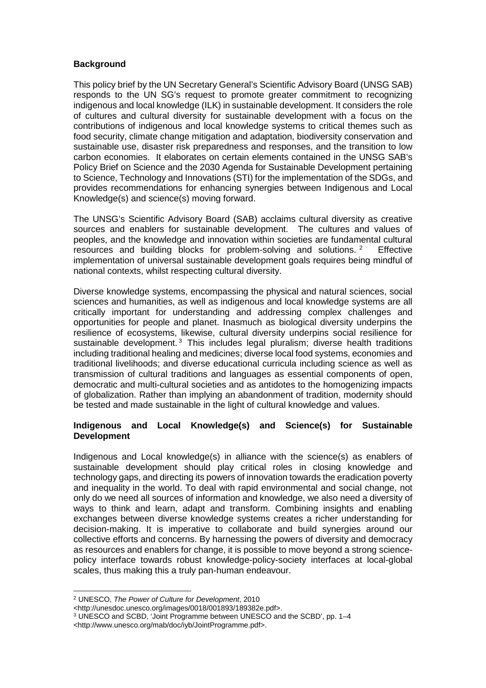#### **Background**

This policy brief by the UN Secretary General's Scientific Advisory Board (UNSG SAB) responds to the UN SG's request to promote greater commitment to recognizing indigenous and local knowledge (ILK) in sustainable development. It considers the role of cultures and cultural diversity for sustainable development with a focus on the contributions of indigenous and local knowledge systems to critical themes such as food security, climate change mitigation and adaptation, biodiversity conservation and sustainable use, disaster risk preparedness and responses, and the transition to low carbon economies. It elaborates on certain elements contained in the UNSG SAB's Policy Brief on Science and the 2030 Agenda for Sustainable Development pertaining to Science, Technology and Innovations (STI) for the implementation of the SDGs, and provides recommendations for enhancing synergies between Indigenous and Local Knowledge(s) and science(s) moving forward.

The UNSG's Scientific Advisory Board (SAB) acclaims cultural diversity as creative sources and enablers for sustainable development. The cultures and values of peoples, and the knowledge and innovation within societies are fundamental cultural resources and building blocks for problem-solving and solutions.<sup>[2](#page-2-0)</sup> Effective implementation of universal sustainable development goals requires being mindful of national contexts, whilst respecting cultural diversity.

Diverse knowledge systems, encompassing the physical and natural sciences, social sciences and humanities, as well as indigenous and local knowledge systems are all critically important for understanding and addressing complex challenges and opportunities for people and planet. Inasmuch as biological diversity underpins the resilience of ecosystems, likewise, cultural diversity underpins social resilience for sustainable development.<sup>[3](#page-2-1)</sup> This includes legal pluralism; diverse health traditions including traditional healing and medicines; diverse local food systems, economies and traditional livelihoods; and diverse educational curricula including science as well as transmission of cultural traditions and languages as essential components of open, democratic and multi-cultural societies and as antidotes to the homogenizing impacts of globalization. Rather than implying an abandonment of tradition, modernity should be tested and made sustainable in the light of cultural knowledge and values.

#### **Indigenous and Local Knowledge(s) and Science(s) for Sustainable Development**

Indigenous and Local knowledge(s) in alliance with the science(s) as enablers of sustainable development should play critical roles in closing knowledge and technology gaps, and directing its powers of innovation towards the eradication poverty and inequality in the world. To deal with rapid environmental and social change, not only do we need all sources of information and knowledge, we also need a diversity of ways to think and learn, adapt and transform. Combining insights and enabling exchanges between diverse knowledge systems creates a richer understanding for decision-making. It is imperative to collaborate and build synergies around our collective efforts and concerns. By harnessing the powers of diversity and democracy as resources and enablers for change, it is possible to move beyond a strong sciencepolicy interface towards robust knowledge-policy-society interfaces at local-global scales, thus making this a truly pan-human endeavour.

<span id="page-2-0"></span><sup>2</sup> UNESCO, *The Power of Culture for Development*, 2010

<sup>&</sup>lt;http://unesdoc.unesco.org/images/0018/001893/189382e.pdf>.

<span id="page-2-1"></span><sup>3</sup> UNESCO and SCBD, 'Joint Programme between UNESCO and the SCBD', pp. 1–4

<sup>&</sup>lt;http://www.unesco.org/mab/doc/iyb/JointProgramme.pdf>.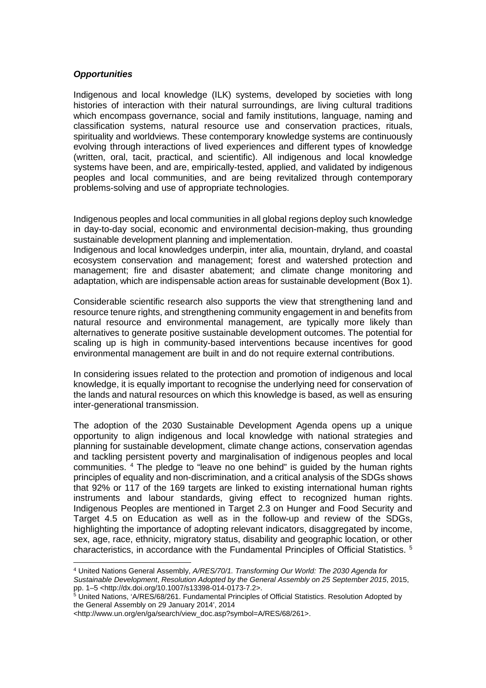#### *Opportunities*

Indigenous and local knowledge (ILK) systems, developed by societies with long histories of interaction with their natural surroundings, are living cultural traditions which encompass governance, social and family institutions, language, naming and classification systems, natural resource use and conservation practices, rituals, spirituality and worldviews. These contemporary knowledge systems are continuously evolving through interactions of lived experiences and different types of knowledge (written, oral, tacit, practical, and scientific). All indigenous and local knowledge systems have been, and are, empirically-tested, applied, and validated by indigenous peoples and local communities, and are being revitalized through contemporary problems-solving and use of appropriate technologies.

Indigenous peoples and local communities in all global regions deploy such knowledge in day-to-day social, economic and environmental decision-making, thus grounding sustainable development planning and implementation.

Indigenous and local knowledges underpin, inter alia, mountain, dryland, and coastal ecosystem conservation and management; forest and watershed protection and management; fire and disaster abatement; and climate change monitoring and adaptation, which are indispensable action areas for sustainable development (Box 1).

Considerable scientific research also supports the view that strengthening land and resource tenure rights, and strengthening community engagement in and benefits from natural resource and environmental management, are typically more likely than alternatives to generate positive sustainable development outcomes. The potential for scaling up is high in community-based interventions because incentives for good environmental management are built in and do not require external contributions.

In considering issues related to the protection and promotion of indigenous and local knowledge, it is equally important to recognise the underlying need for conservation of the lands and natural resources on which this knowledge is based, as well as ensuring inter-generational transmission.

The adoption of the 2030 Sustainable Development Agenda opens up a unique opportunity to align indigenous and local knowledge with national strategies and planning for sustainable development, climate change actions, conservation agendas and tackling persistent poverty and marginalisation of indigenous peoples and local communities. [4](#page-3-0) The pledge to "leave no one behind" is guided by the human rights principles of equality and non-discrimination, and a critical analysis of the SDGs shows that 92% or 117 of the 169 targets are linked to existing international human rights instruments and labour standards, giving effect to recognized human rights. Indigenous Peoples are mentioned in Target 2.3 on Hunger and Food Security and Target 4.5 on Education as well as in the follow-up and review of the SDGs, highlighting the importance of adopting relevant indicators, disaggregated by income, sex, age, race, ethnicity, migratory status, disability and geographic location, or other characteristics, in accordance with the Fundamental Principles of Official Statistics. [5](#page-3-1)

<span id="page-3-0"></span><sup>4</sup> United Nations General Assembly, *A/RES/70/1. Transforming Our World: The 2030 Agenda for Sustainable Development*, *Resolution Adopted by the General Assembly on 25 September 2015*, 2015, pp. 1–5 <http://dx.doi.org/10.1007/s13398-014-0173-7.2>.

<span id="page-3-1"></span> $^5$  United Nations, 'A/RES/68/261. Fundamental Principles of Official Statistics. Resolution Adopted by the General Assembly on 29 January 2014', 2014

<sup>&</sup>lt;http://www.un.org/en/ga/search/view\_doc.asp?symbol=A/RES/68/261>.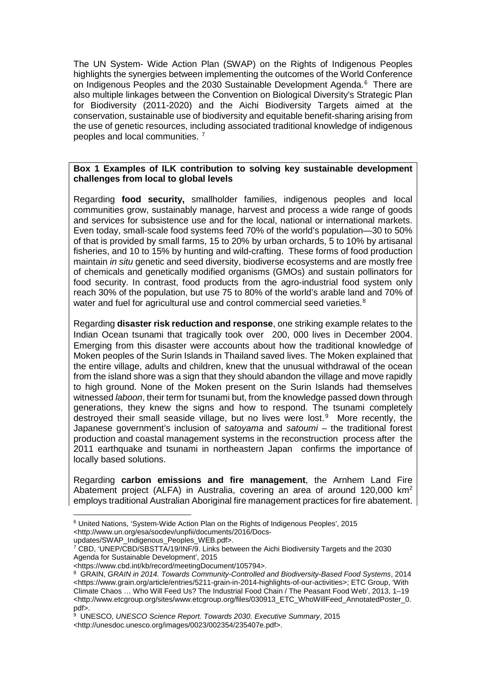The UN System- Wide Action Plan (SWAP) on the Rights of Indigenous Peoples highlights the synergies between implementing the outcomes of the World Conference on Indigenous Peoples and the 2030 Sustainable Development Agenda.<sup>[6](#page-4-0)</sup> There are also multiple linkages between the Convention on Biological Diversity's Strategic Plan for Biodiversity (2011-2020) and the Aichi Biodiversity Targets aimed at the conservation, sustainable use of biodiversity and equitable benefit-sharing arising from the use of genetic resources, including associated traditional knowledge of indigenous peoples and local communities. [7](#page-4-1)

#### **Box 1 Examples of ILK contribution to solving key sustainable development challenges from local to global levels**

Regarding **food security,** smallholder families, indigenous peoples and local communities grow, sustainably manage, harvest and process a wide range of goods and services for subsistence use and for the local, national or international markets. Even today, small-scale food systems feed 70% of the world's population—30 to 50% of that is provided by small farms, 15 to 20% by urban orchards, 5 to 10% by artisanal fisheries, and 10 to 15% by hunting and wild-crafting. These forms of food production maintain *in situ* genetic and seed diversity, biodiverse ecosystems and are mostly free of chemicals and genetically modified organisms (GMOs) and sustain pollinators for food security. In contrast, food products from the agro-industrial food system only reach 30% of the population, but use 75 to 80% of the world's arable land and 70% of water and fuel for agricultural use and control commercial seed varieties.<sup>[8](#page-4-2)</sup>

Regarding **disaster risk reduction and response**, one striking example relates to the Indian Ocean tsunami that tragically took over 200, 000 lives in December 2004. Emerging from this disaster were accounts about how the traditional knowledge of Moken peoples of the Surin Islands in Thailand saved lives. The Moken explained that the entire village, adults and children, knew that the unusual withdrawal of the ocean from the island shore was a sign that they should abandon the village and move rapidly to high ground. None of the Moken present on the Surin Islands had themselves witnessed *laboon*, their term for tsunami but, from the knowledge passed down through generations, they knew the signs and how to respond. The tsunami completely destroyed their small seaside village, but no lives were lost.<sup>[9](#page-4-3)</sup> More recently, the Japanese government's inclusion of *satoyama* and *satoumi* – the traditional forest production and coastal management systems in the reconstruction process after the 2011 earthquake and tsunami in northeastern Japan confirms the importance of locally based solutions.

Regarding **carbon emissions and fire management**, the Arnhem Land Fire Abatement project (ALFA) in Australia, covering an area of around 120,000 km2 employs traditional Australian Aboriginal fire management practices for fire abatement.

updates/SWAP\_Indigenous\_Peoples\_WEB.pdf>.

<span id="page-4-0"></span><sup>6</sup> United Nations, 'System-Wide Action Plan on the Rights of Indigenous Peoples', 2015 <http://www.un.org/esa/socdev/unpfii/documents/2016/Docs-

<span id="page-4-1"></span><sup>7</sup> CBD, 'UNEP/CBD/SBSTTA/19/INF/9. Links between the Aichi Biodiversity Targets and the 2030 Agenda for Sustainable Development', 2015

<sup>&</sup>lt;https://www.cbd.int/kb/record/meetingDocument/105794>.

<span id="page-4-2"></span><sup>8</sup> GRAIN, *GRAIN in 2014. Towards Community-Controlled and Biodiversity-Based Food Systems*, 2014 <https://www.grain.org/article/entries/5211-grain-in-2014-highlights-of-our-activities>; ETC Group, 'With Climate Chaos … Who Will Feed Us? The Industrial Food Chain / The Peasant Food Web', 2013, 1–19 <http://www.etcgroup.org/sites/www.etcgroup.org/files/030913\_ETC\_WhoWillFeed\_AnnotatedPoster\_0. pdf>.

<span id="page-4-3"></span><sup>9</sup> UNESCO, *UNESCO Science Report. Towards 2030. Executive Summary*, 2015 <http://unesdoc.unesco.org/images/0023/002354/235407e.pdf>.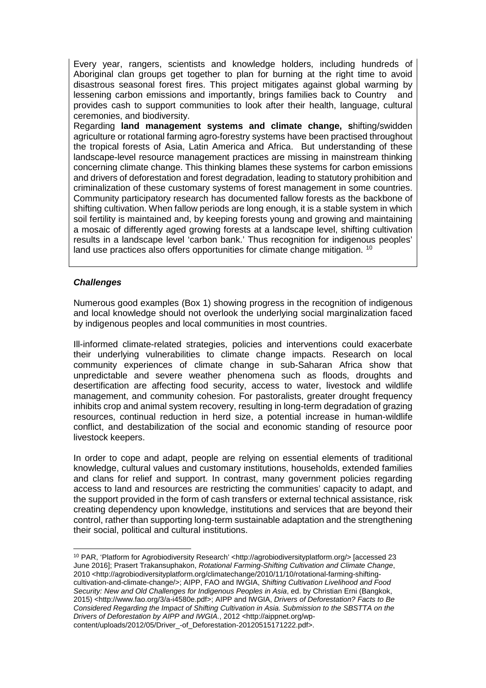Every year, rangers, scientists and knowledge holders, including hundreds of Aboriginal clan groups get together to plan for burning at the right time to avoid disastrous seasonal forest fires. This project mitigates against global warming by lessening carbon emissions and importantly, brings families back to Country and provides cash to support communities to look after their health, language, cultural ceremonies, and biodiversity.

Regarding **land management systems and climate change, s**hifting/swidden agriculture or rotational farming agro-forestry systems have been practised throughout the tropical forests of Asia, Latin America and Africa. But understanding of these landscape-level resource management practices are missing in mainstream thinking concerning climate change. This thinking blames these systems for carbon emissions and drivers of deforestation and forest degradation, leading to statutory prohibition and criminalization of these customary systems of forest management in some countries. Community participatory research has documented fallow forests as the backbone of shifting cultivation. When fallow periods are long enough, it is a stable system in which soil fertility is maintained and, by keeping forests young and growing and maintaining a mosaic of differently aged growing forests at a landscape level, shifting cultivation results in a landscape level 'carbon bank.' Thus recognition for indigenous peoples' land use practices also offers opportunities for climate change mitigation. <sup>[10](#page-5-0)</sup>

#### *Challenges*

Numerous good examples (Box 1) showing progress in the recognition of indigenous and local knowledge should not overlook the underlying social marginalization faced by indigenous peoples and local communities in most countries.

Ill-informed climate-related strategies, policies and interventions could exacerbate their underlying vulnerabilities to climate change impacts. Research on local community experiences of climate change in sub-Saharan Africa show that unpredictable and severe weather phenomena such as floods, droughts and desertification are affecting food security, access to water, livestock and wildlife management, and community cohesion. For pastoralists, greater drought frequency inhibits crop and animal system recovery, resulting in long-term degradation of grazing resources, continual reduction in herd size, a potential increase in human-wildlife conflict, and destabilization of the social and economic standing of resource poor livestock keepers.

In order to cope and adapt, people are relying on essential elements of traditional knowledge, cultural values and customary institutions, households, extended families and clans for relief and support. In contrast, many government policies regarding access to land and resources are restricting the communities' capacity to adapt, and the support provided in the form of cash transfers or external technical assistance, risk creating dependency upon knowledge, institutions and services that are beyond their control, rather than supporting long-term sustainable adaptation and the strengthening their social, political and cultural institutions.

<span id="page-5-0"></span><sup>10</sup> PAR, 'Platform for Agrobiodiversity Research' <http://agrobiodiversityplatform.org/> [accessed 23 June 2016]; Prasert Trakansuphakon, *Rotational Farming-Shifting Cultivation and Climate Change*, 2010 <http://agrobiodiversityplatform.org/climatechange/2010/11/10/rotational-farming-shiftingcultivation-and-climate-change/>; AIPP, FAO and IWGIA, *Shifting Cultivation Livelihood and Food Security: New and Old Challenges for Indigenous Peoples in Asia*, ed. by Christian Erni (Bangkok, 2015) <http://www.fao.org/3/a-i4580e.pdf>; AIPP and IWGIA, *Drivers of Deforestation? Facts to Be Considered Regarding the Impact of Shifting Cultivation in Asia. Submission to the SBSTTA on the Drivers of Deforestation by AIPP and IWGIA.*, 2012 <http://aippnet.org/wpcontent/uploads/2012/05/Driver\_-of\_Deforestation-20120515171222.pdf>.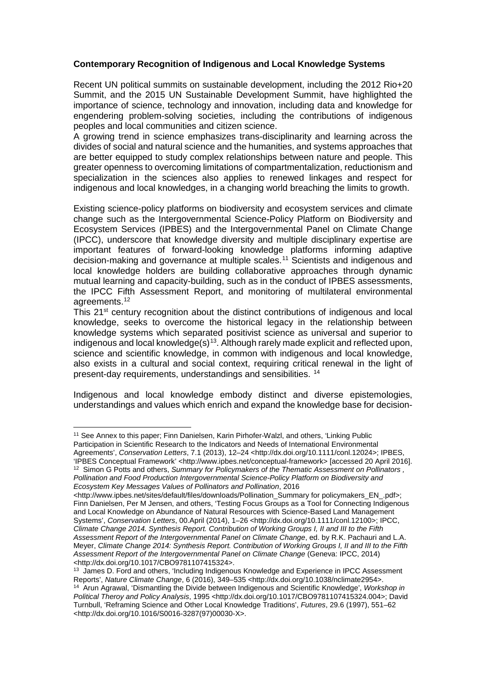#### **Contemporary Recognition of Indigenous and Local Knowledge Systems**

Recent UN political summits on sustainable development, including the 2012 Rio+20 Summit, and the 2015 UN Sustainable Development Summit, have highlighted the importance of science, technology and innovation, including data and knowledge for engendering problem-solving societies, including the contributions of indigenous peoples and local communities and citizen science.

A growing trend in science emphasizes trans-disciplinarity and learning across the divides of social and natural science and the humanities, and systems approaches that are better equipped to study complex relationships between nature and people. This greater openness to overcoming limitations of compartmentalization, reductionism and specialization in the sciences also applies to renewed linkages and respect for indigenous and local knowledges, in a changing world breaching the limits to growth.

Existing science-policy platforms on biodiversity and ecosystem services and climate change such as the Intergovernmental Science-Policy Platform on Biodiversity and Ecosystem Services (IPBES) and the Intergovernmental Panel on Climate Change (IPCC), underscore that knowledge diversity and multiple disciplinary expertise are important features of forward-looking knowledge platforms informing adaptive decision-making and governance at multiple scales.[11](#page-6-0) Scientists and indigenous and local knowledge holders are building collaborative approaches through dynamic mutual learning and capacity-building, such as in the conduct of IPBES assessments, the IPCC Fifth Assessment Report, and monitoring of multilateral environmental agreements. [12](#page-6-1)

This 21<sup>st</sup> century recognition about the distinct contributions of indigenous and local knowledge, seeks to overcome the historical legacy in the relationship between knowledge systems which separated positivist science as universal and superior to indigenous and local knowledge $(s)^{13}$  $(s)^{13}$  $(s)^{13}$ . Although rarely made explicit and reflected upon, science and scientific knowledge, in common with indigenous and local knowledge, also exists in a cultural and social context, requiring critical renewal in the light of present-day requirements, understandings and sensibilities. [14](#page-6-3)

Indigenous and local knowledge embody distinct and diverse epistemologies, understandings and values which enrich and expand the knowledge base for decision-

<span id="page-6-0"></span><sup>&</sup>lt;sup>11</sup> See Annex to this paper; Finn Danielsen, Karin Pirhofer-Walzl, and others, 'Linking Public Participation in Scientific Research to the Indicators and Needs of International Environmental Agreements', *Conservation Letters*, 7.1 (2013), 12–24 <http://dx.doi.org/10.1111/conl.12024>; IPBES, 'IPBES Conceptual Framework' <http://www.ipbes.net/conceptual-framework> [accessed 20 April 2016]. <sup>12</sup> Simon G Potts and others, Summary for Policymakers of the Thematic Assessment on Pollinators,

<span id="page-6-1"></span>*Pollination and Food Production Intergovernmental Science-Policy Platform on Biodiversity and Ecosystem Key Messages Values of Pollinators and Pollination*, 2016

<sup>&</sup>lt;http://www.ipbes.net/sites/default/files/downloads/Pollination\_Summary for policymakers\_EN\_.pdf>; Finn Danielsen, Per M Jensen, and others, 'Testing Focus Groups as a Tool for Connecting Indigenous and Local Knowledge on Abundance of Natural Resources with Science-Based Land Management Systems', *Conservation Letters*, 00.April (2014), 1–26 <http://dx.doi.org/10.1111/conl.12100>; IPCC, *Climate Change 2014. Synthesis Report. Contribution of Working Groups I, II and III to the Fifth Assessment Report of the Intergovernmental Panel on Climate Change*, ed. by R.K. Pachauri and L.A. Meyer, *Climate Change 2014: Synthesis Report. Contribution of Working Groups I, II and III to the Fifth Assessment Report of the Intergovernmental Panel on Climate Change* (Geneva: IPCC, 2014) <http://dx.doi.org/10.1017/CBO9781107415324>.

<span id="page-6-3"></span><span id="page-6-2"></span><sup>&</sup>lt;sup>13</sup> James D. Ford and others, 'Including Indigenous Knowledge and Experience in IPCC Assessment Reports', *Nature Climate Change*, 6 (2016), 349–535 <http://dx.doi.org/10.1038/nclimate2954>. <sup>14</sup> Arun Agrawal, 'Dismantling the Divide between Indigenous and Scientific Knowledge', *Workshop in Political Theroy and Policy Analysis*, 1995 <http://dx.doi.org/10.1017/CBO9781107415324.004>; David Turnbull, 'Reframing Science and Other Local Knowledge Traditions', *Futures*, 29.6 (1997), 551–62 <http://dx.doi.org/10.1016/S0016-3287(97)00030-X>.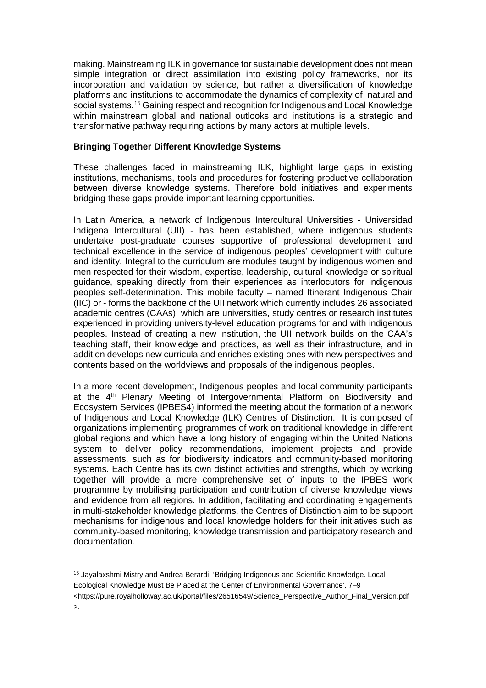making. Mainstreaming ILK in governance for sustainable development does not mean simple integration or direct assimilation into existing policy frameworks, nor its incorporation and validation by science, but rather a diversification of knowledge platforms and institutions to accommodate the dynamics of complexity of natural and social systems.[15](#page-7-0) Gaining respect and recognition for Indigenous and Local Knowledge within mainstream global and national outlooks and institutions is a strategic and transformative pathway requiring actions by many actors at multiple levels.

#### **Bringing Together Different Knowledge Systems**

These challenges faced in mainstreaming ILK, highlight large gaps in existing institutions, mechanisms, tools and procedures for fostering productive collaboration between diverse knowledge systems. Therefore bold initiatives and experiments bridging these gaps provide important learning opportunities.

In Latin America, a network of Indigenous Intercultural Universities - Universidad Indígena Intercultural (UII) - has been established, where indigenous students undertake post-graduate courses supportive of professional development and technical excellence in the service of indigenous peoples' development with culture and identity. Integral to the curriculum are modules taught by indigenous women and men respected for their wisdom, expertise, leadership, cultural knowledge or spiritual guidance, speaking directly from their experiences as interlocutors for indigenous peoples self-determination. This mobile faculty – named Itinerant Indigenous Chair (IIC) or - forms the backbone of the UII network which currently includes 26 associated academic centres (CAAs), which are universities, study centres or research institutes experienced in providing university-level education programs for and with indigenous peoples. Instead of creating a new institution, the UII network builds on the CAA's teaching staff, their knowledge and practices, as well as their infrastructure, and in addition develops new curricula and enriches existing ones with new perspectives and contents based on the worldviews and proposals of the indigenous peoples.

In a more recent development, Indigenous peoples and local community participants at the  $4<sup>th</sup>$  Plenary Meeting of Intergovernmental Platform on Biodiversity and Ecosystem Services (IPBES4) informed the meeting about the formation of a network of Indigenous and Local Knowledge (ILK) Centres of Distinction. It is composed of organizations implementing programmes of work on traditional knowledge in different global regions and which have a long history of engaging within the United Nations system to deliver policy recommendations, implement projects and provide assessments, such as for biodiversity indicators and community-based monitoring systems. Each Centre has its own distinct activities and strengths, which by working together will provide a more comprehensive set of inputs to the IPBES work programme by mobilising participation and contribution of diverse knowledge views and evidence from all regions. In addition, facilitating and coordinating engagements in multi-stakeholder knowledge platforms, the Centres of Distinction aim to be support mechanisms for indigenous and local knowledge holders for their initiatives such as community-based monitoring, knowledge transmission and participatory research and documentation.

<span id="page-7-0"></span>I <sup>15</sup> Jayalaxshmi Mistry and Andrea Berardi, 'Bridging Indigenous and Scientific Knowledge. Local Ecological Knowledge Must Be Placed at the Center of Environmental Governance', 7–9 <https://pure.royalholloway.ac.uk/portal/files/26516549/Science\_Perspective\_Author\_Final\_Version.pdf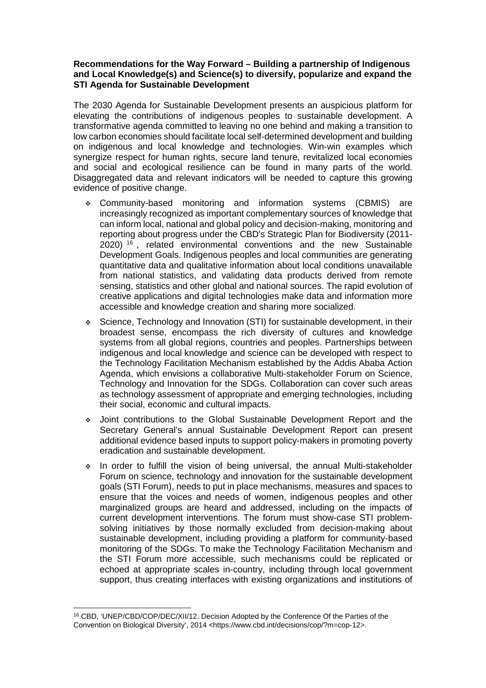#### **Recommendations for the Way Forward – Building a partnership of Indigenous and Local Knowledge(s) and Science(s) to diversify, popularize and expand the STI Agenda for Sustainable Development**

The 2030 Agenda for Sustainable Development presents an auspicious platform for elevating the contributions of indigenous peoples to sustainable development. A transformative agenda committed to leaving no one behind and making a transition to low carbon economies should facilitate local self-determined development and building on indigenous and local knowledge and technologies. Win-win examples which synergize respect for human rights, secure land tenure, revitalized local economies and social and ecological resilience can be found in many parts of the world. Disaggregated data and relevant indicators will be needed to capture this growing evidence of positive change.

- Community-based monitoring and information systems (CBMIS) are increasingly recognized as important complementary sources of knowledge that can inform local, national and global policy and decision-making, monitoring and reporting about progress under the CBD's Strategic Plan for Biodiversity (2011- 2020) <sup>[16](#page-8-0)</sup>, related environmental conventions and the new Sustainable Development Goals. Indigenous peoples and local communities are generating quantitative data and qualitative information about local conditions unavailable from national statistics, and validating data products derived from remote sensing, statistics and other global and national sources. The rapid evolution of creative applications and digital technologies make data and information more accessible and knowledge creation and sharing more socialized.
- Science, Technology and Innovation (STI) for sustainable development, in their broadest sense, encompass the rich diversity of cultures and knowledge systems from all global regions, countries and peoples. Partnerships between indigenous and local knowledge and science can be developed with respect to the Technology Facilitation Mechanism established by the Addis Ababa Action Agenda, which envisions a collaborative Multi-stakeholder Forum on Science, Technology and Innovation for the SDGs. Collaboration can cover such areas as technology assessment of appropriate and emerging technologies, including their social, economic and cultural impacts.
- Joint contributions to the Global Sustainable Development Report and the Secretary General's annual Sustainable Development Report can present additional evidence based inputs to support policy-makers in promoting poverty eradication and sustainable development.
- $\div$  In order to fulfill the vision of being universal, the annual Multi-stakeholder Forum on science, technology and innovation for the sustainable development goals (STI Forum), needs to put in place mechanisms, measures and spaces to ensure that the voices and needs of women, indigenous peoples and other marginalized groups are heard and addressed, including on the impacts of current development interventions. The forum must show-case STI problemsolving initiatives by those normally excluded from decision-making about sustainable development, including providing a platform for community-based monitoring of the SDGs. To make the Technology Facilitation Mechanism and the STI Forum more accessible, such mechanisms could be replicated or echoed at appropriate scales in-country, including through local government support, thus creating interfaces with existing organizations and institutions of

<span id="page-8-0"></span><sup>16</sup> CBD, 'UNEP/CBD/COP/DEC/XII/12. Decision Adopted by the Conference Of the Parties of the Convention on Biological Diversity', 2014 <https://www.cbd.int/decisions/cop/?m=cop-12>.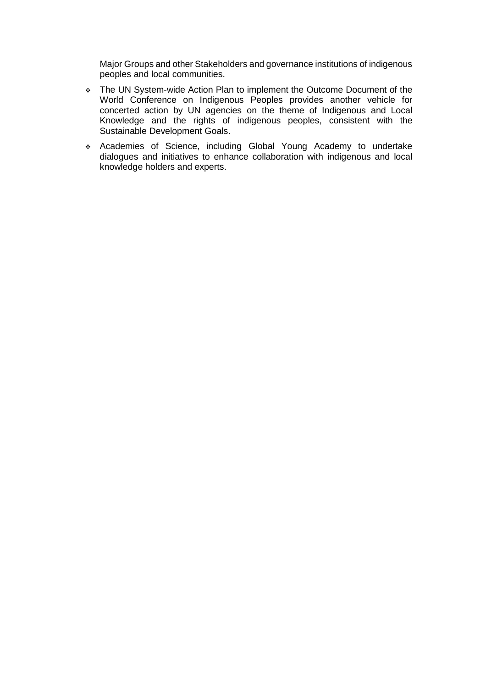Major Groups and other Stakeholders and governance institutions of indigenous peoples and local communities.

- \* The UN System-wide Action Plan to implement the Outcome Document of the World Conference on Indigenous Peoples provides another vehicle for concerted action by UN agencies on the theme of Indigenous and Local Knowledge and the rights of indigenous peoples, consistent with the Sustainable Development Goals.
- Academies of Science, including Global Young Academy to undertake dialogues and initiatives to enhance collaboration with indigenous and local knowledge holders and experts.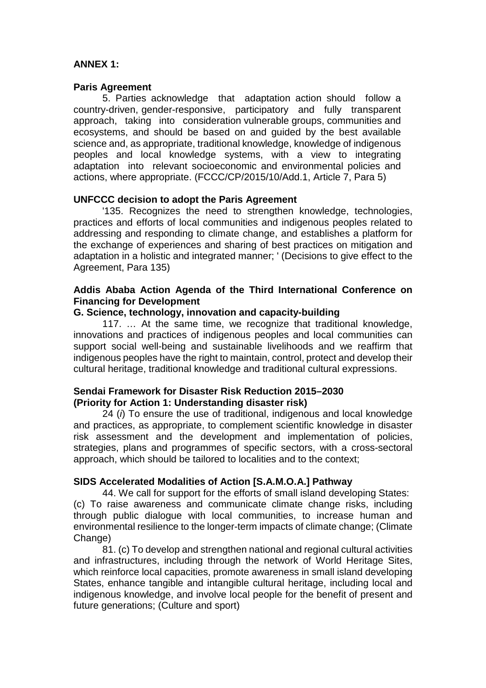# **ANNEX 1:**

#### **Paris Agreement**

5. Parties acknowledge that adaptation action should follow a country-driven, gender-responsive, participatory and fully transparent approach, taking into consideration vulnerable groups, communities and ecosystems, and should be based on and guided by the best available science and, as appropriate, traditional knowledge, knowledge of indigenous peoples and local knowledge systems, with a view to integrating adaptation into relevant socioeconomic and environmental policies and actions, where appropriate. (FCCC/CP/2015/10/Add.1, Article 7, Para 5)

# **UNFCCC decision to adopt the Paris Agreement**

'135. Recognizes the need to strengthen knowledge, technologies, practices and efforts of local communities and indigenous peoples related to addressing and responding to climate change, and establishes a platform for the exchange of experiences and sharing of best practices on mitigation and adaptation in a holistic and integrated manner; ' (Decisions to give effect to the Agreement, Para 135)

## **Addis Ababa Action Agenda of the Third International Conference on Financing for Development**

#### **G. Science, technology, innovation and capacity-building**

117. … At the same time, we recognize that traditional knowledge, innovations and practices of indigenous peoples and local communities can support social well-being and sustainable livelihoods and we reaffirm that indigenous peoples have the right to maintain, control, protect and develop their cultural heritage, traditional knowledge and traditional cultural expressions.

# **Sendai Framework for Disaster Risk Reduction 2015–2030 (Priority for Action 1: Understanding disaster risk)**

24 (*i*) To ensure the use of traditional, indigenous and local knowledge and practices, as appropriate, to complement scientific knowledge in disaster risk assessment and the development and implementation of policies, strategies, plans and programmes of specific sectors, with a cross-sectoral approach, which should be tailored to localities and to the context;

# **SIDS Accelerated Modalities of Action [S.A.M.O.A.] Pathway**

44. We call for support for the efforts of small island developing States: (c) To raise awareness and communicate climate change risks, including through public dialogue with local communities, to increase human and environmental resilience to the longer-term impacts of climate change; (Climate Change)

81. (c) To develop and strengthen national and regional cultural activities and infrastructures, including through the network of World Heritage Sites, which reinforce local capacities, promote awareness in small island developing States, enhance tangible and intangible cultural heritage, including local and indigenous knowledge, and involve local people for the benefit of present and future generations; (Culture and sport)